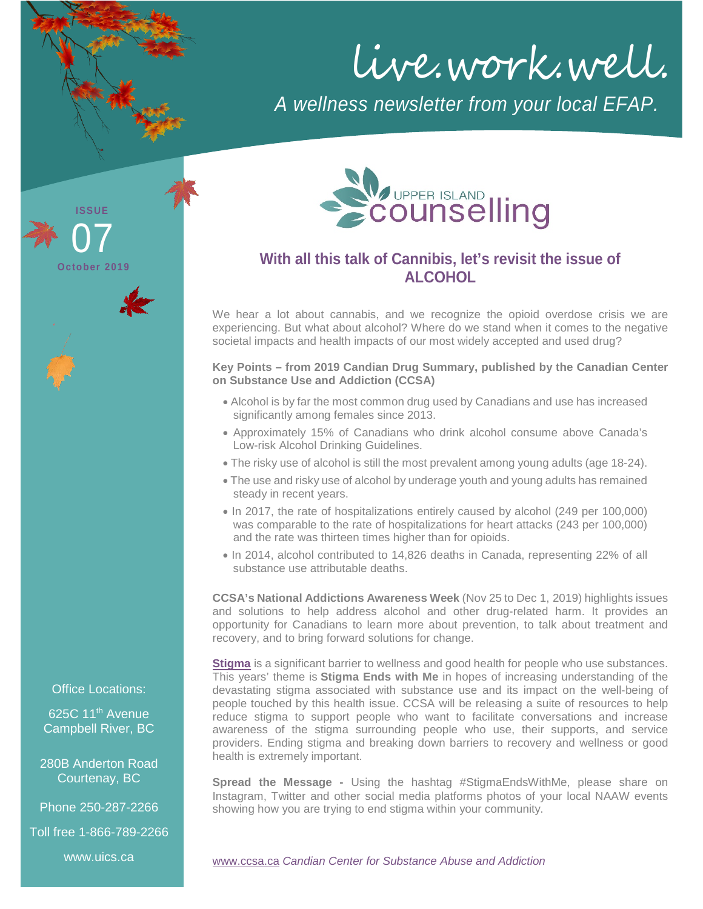live.work.well.

*A wellness newsletter from your local EFAP.*



## **With all this talk of Cannibis, let's revisit the issue of ALCOHOL**

We hear a lot about cannabis, and we recognize the opioid overdose crisis we are experiencing. But what about alcohol? Where do we stand when it comes to the negative societal impacts and health impacts of our most widely accepted and used drug?

**Key Points – from 2019 Candian Drug Summary, published by the Canadian Center on Substance Use and Addiction (CCSA)**

- Alcohol is by far the most common drug used by Canadians and use has increased significantly among females since 2013.
- Approximately 15% of Canadians who drink alcohol consume above Canada's Low-risk Alcohol Drinking Guidelines.
- The risky use of alcohol is still the most prevalent among young adults (age 18-24).
- The use and risky use of alcohol by underage youth and young adults has remained steady in recent years.
- In 2017, the rate of hospitalizations entirely caused by alcohol (249 per 100,000) was comparable to the rate of hospitalizations for heart attacks (243 per 100,000) and the rate was thirteen times higher than for opioids.
- In 2014, alcohol contributed to 14,826 deaths in Canada, representing 22% of all substance use attributable deaths.

**CCSA's National Addictions Awareness Week** (Nov 25 to Dec 1, 2019) highlights issues and solutions to help address alcohol and other drug-related harm. It provides an opportunity for Canadians to learn more about prevention, to talk about treatment and recovery, and to bring forward solutions for change.

**[Stigma](https://www.ccsa.ca/stigma)** is a significant barrier to wellness and good health for people who use substances. This years' theme is **Stigma Ends with Me** in hopes of increasing understanding of the devastating stigma associated with substance use and its impact on the well-being of people touched by this health issue. CCSA will be releasing a suite of resources to help reduce stigma to support people who want to facilitate conversations and increase awareness of the stigma surrounding people who use, their supports, and service providers. Ending stigma and breaking down barriers to recovery and wellness or good health is extremely important.

**Spread the Message -** Using the hashtag #StigmaEndsWithMe, please share on Instagram, Twitter and other social media platforms photos of your local NAAW events showing how you are trying to end stigma within your community.

[www.ccsa.ca](http://www.ccsa.ca/) *Candian Center for Substance Abuse and Addiction*

Office Locations:

**ISSUE**

**October 2019**

07

625C 11<sup>th</sup> Avenue Campbell River, BC

280B Anderton Road Courtenay, BC

Phone 250-287-2266

Toll free 1-866-789-2266

www.uics.ca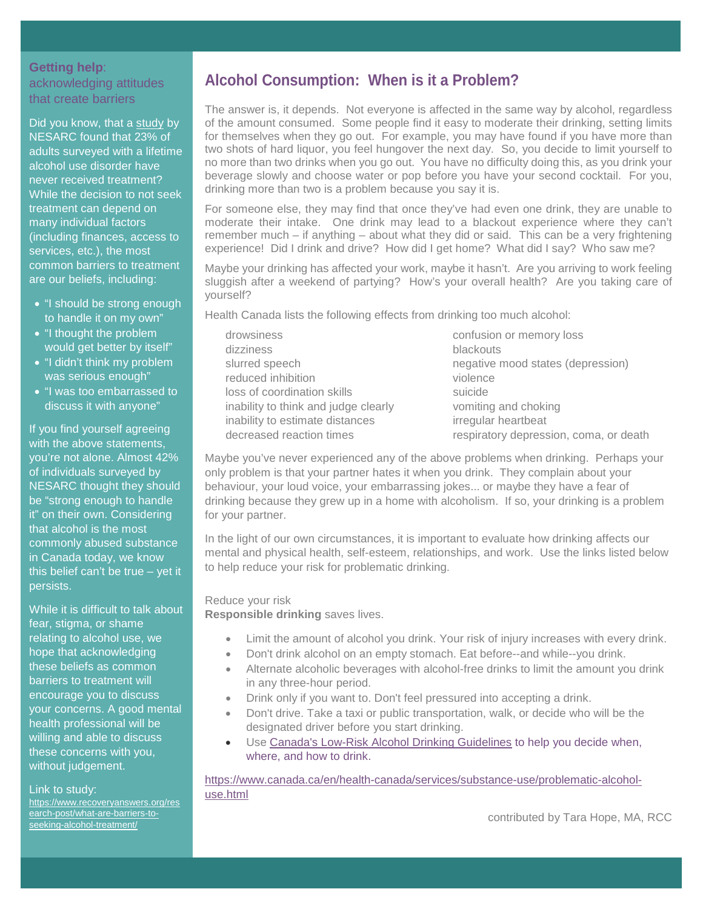### **Getting help**: acknowledging attitudes that create barriers

Did you know, that a [study](https://www.recoveryanswers.org/research-post/what-are-barriers-to-seeking-alcohol-treatment/) by NESARC found that 23% of adults surveyed with a lifetime alcohol use disorder have never received treatment? While the decision to not seek treatment can depend on many individual factors (including finances, access to services, etc.), the most common barriers to treatment are our beliefs, including:

- "I should be strong enough to handle it on my own"
- "I thought the problem would get better by itself"
- "I didn't think my problem was serious enough"
- "I was too embarrassed to discuss it with anyone"

If you find yourself agreeing with the above statements, you're not alone. Almost 42% of individuals surveyed by NESARC thought they should be "strong enough to handle it" on their own. Considering that alcohol is the most commonly abused substance in Canada today, we know this belief can't be true – yet it persists.

While it is difficult to talk about fear, stigma, or shame relating to alcohol use, we hope that acknowledging these beliefs as common barriers to treatment will encourage you to discuss your concerns. A good mental health professional will be willing and able to discuss these concerns with you, without judgement.

#### Link to study:

[https://www.recoveryanswers.org/res](https://www.recoveryanswers.org/research-post/what-are-barriers-to-seeking-alcohol-treatment/) [earch-post/what-are-barriers-to](https://www.recoveryanswers.org/research-post/what-are-barriers-to-seeking-alcohol-treatment/)[seeking-alcohol-treatment/](https://www.recoveryanswers.org/research-post/what-are-barriers-to-seeking-alcohol-treatment/)

## **Alcohol Consumption: When is it a Problem?**

The answer is, it depends. Not everyone is affected in the same way by alcohol, regardless of the amount consumed. Some people find it easy to moderate their drinking, setting limits for themselves when they go out. For example, you may have found if you have more than two shots of hard liquor, you feel hungover the next day. So, you decide to limit yourself to no more than two drinks when you go out. You have no difficulty doing this, as you drink your beverage slowly and choose water or pop before you have your second cocktail. For you, drinking more than two is a problem because you say it is.

For someone else, they may find that once they've had even one drink, they are unable to moderate their intake. One drink may lead to a blackout experience where they can't remember much – if anything – about what they did or said. This can be a very frightening experience! Did I drink and drive? How did I get home? What did I say? Who saw me?

Maybe your drinking has affected your work, maybe it hasn't. Are you arriving to work feeling sluggish after a weekend of partying? How's your overall health? Are you taking care of yourself?

Health Canada lists the following effects from drinking too much alcohol:

drowsiness confusion or memory loss dizziness blackouts reduced inhibition violence loss of coordination skills suicide inability to think and judge clearly vomiting and choking inability to estimate distances irregular heartbeat

slurred speech negative mood states (depression) decreased reaction times respiratory depression, coma, or death

Maybe you've never experienced any of the above problems when drinking. Perhaps your only problem is that your partner hates it when you drink. They complain about your behaviour, your loud voice, your embarrassing jokes... or maybe they have a fear of drinking because they grew up in a home with alcoholism. If so, your drinking is a problem for your partner.

In the light of our own circumstances, it is important to evaluate how drinking affects our mental and physical health, self-esteem, relationships, and work. Use the links listed below to help reduce your risk for problematic drinking.

### Reduce your risk

**Responsible drinking** saves lives.

- Limit the amount of alcohol you drink. Your risk of injury increases with every drink.
- Don't drink alcohol on an empty stomach. Eat before--and while--you drink.
- Alternate alcoholic beverages with alcohol-free drinks to limit the amount you drink in any three-hour period.
- Drink only if you want to. Don't feel pressured into accepting a drink.
- Don't drive. Take a taxi or public transportation, walk, or decide who will be the designated driver before you start drinking.
- Use [Canada's Low-Risk Alcohol Drinking Guidelines](https://www.ccsa.ca/canadas-low-risk-alcohol-drinking-guidelines-brochure) to help you decide when, where, and how to drink.

[https://www.canada.ca/en/health-canada/services/substance-use/problematic-alcohol](https://www.canada.ca/en/health-canada/services/substance-use/problematic-alcohol-use.html)[use.html](https://www.canada.ca/en/health-canada/services/substance-use/problematic-alcohol-use.html)

contributed by Tara Hope, MA, RCC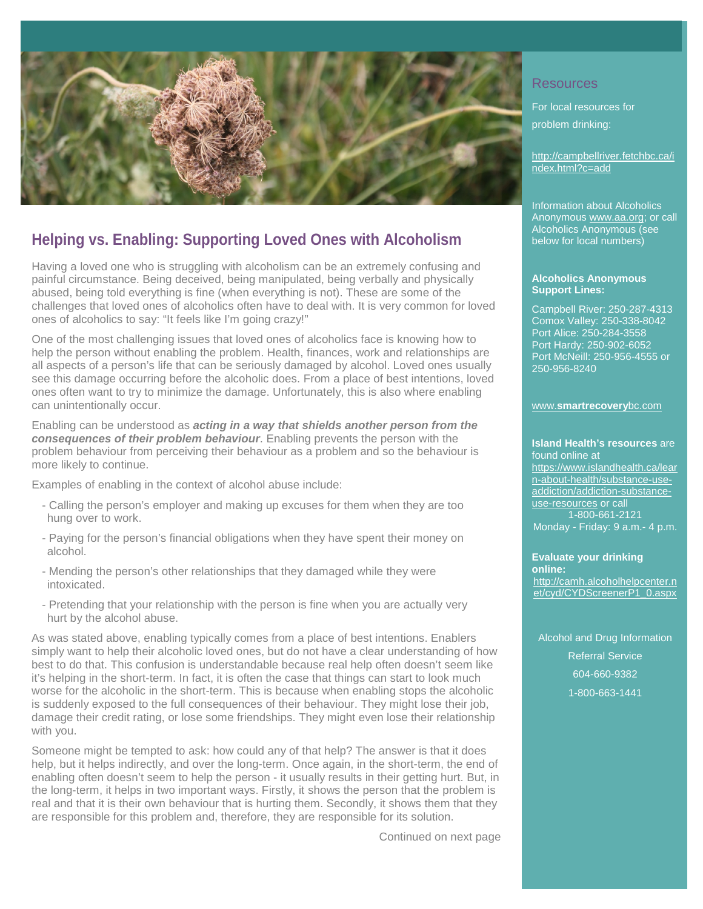

## **Helping vs. Enabling: Supporting Loved Ones with Alcoholism**

Having a loved one who is struggling with alcoholism can be an extremely confusing and painful circumstance. Being deceived, being manipulated, being verbally and physically abused, being told everything is fine (when everything is not). These are some of the challenges that loved ones of alcoholics often have to deal with. It is very common for loved ones of alcoholics to say: "It feels like I'm going crazy!"

One of the most challenging issues that loved ones of alcoholics face is knowing how to help the person without enabling the problem. Health, finances, work and relationships are all aspects of a person's life that can be seriously damaged by alcohol. Loved ones usually see this damage occurring before the alcoholic does. From a place of best intentions, loved ones often want to try to minimize the damage. Unfortunately, this is also where enabling can unintentionally occur.

Enabling can be understood as *acting in a way that shields another person from the consequences of their problem behaviour*. Enabling prevents the person with the problem behaviour from perceiving their behaviour as a problem and so the behaviour is more likely to continue.

Examples of enabling in the context of alcohol abuse include:

- Calling the person's employer and making up excuses for them when they are too hung over to work.
- Paying for the person's financial obligations when they have spent their money on alcohol.
- Mending the person's other relationships that they damaged while they were intoxicated.
- Pretending that your relationship with the person is fine when you are actually very hurt by the alcohol abuse.

As was stated above, enabling typically comes from a place of best intentions. Enablers simply want to help their alcoholic loved ones, but do not have a clear understanding of how best to do that. This confusion is understandable because real help often doesn't seem like it's helping in the short-term. In fact, it is often the case that things can start to look much worse for the alcoholic in the short-term. This is because when enabling stops the alcoholic is suddenly exposed to the full consequences of their behaviour. They might lose their job, damage their credit rating, or lose some friendships. They might even lose their relationship with you.

Someone might be tempted to ask: how could any of that help? The answer is that it does help, but it helps indirectly, and over the long-term. Once again, in the short-term, the end of enabling often doesn't seem to help the person - it usually results in their getting hurt. But, in the long-term, it helps in two important ways. Firstly, it shows the person that the problem is real and that it is their own behaviour that is hurting them. Secondly, it shows them that they are responsible for this problem and, therefore, they are responsible for its solution.

Continued on next page

### **Resources**

For local resources for problem drinking:

[http://campbellriver.fetchbc.ca/i](http://campbellriver.fetchbc.ca/index.html?c=add) [ndex.html?c=add](http://campbellriver.fetchbc.ca/index.html?c=add)

Information about Alcoholics Anonymou[s www.aa.org;](http://www.aa.org/) or call Alcoholics Anonymous (see below for local numbers)

#### **Alcoholics Anonymous Support Lines:**

Campbell River: 250-287-4313 Comox Valley: 250-338-8042 Port Alice: 250-284-3558 Port Hardy: 250-902-6052 Port McNeill: 250-956-4555 or 250-956-8240

#### www.**[smartrecovery](http://www.smartrecoverybc.com/)**bc.com

#### **Island Health's resources** are found online at

[https://www.islandhealth.ca/lear](https://www.islandhealth.ca/learn-about-health/substance-use-addiction/addiction-substance-use-resources) [n-about-health/substance-use](https://www.islandhealth.ca/learn-about-health/substance-use-addiction/addiction-substance-use-resources)[addiction/addiction-substance](https://www.islandhealth.ca/learn-about-health/substance-use-addiction/addiction-substance-use-resources)[use-resources](https://www.islandhealth.ca/learn-about-health/substance-use-addiction/addiction-substance-use-resources) or call 1-800-661-2121 Monday - Friday: 9 a.m.- 4 p.m.

**Evaluate your drinking online:** [http://camh.alcoholhelpcenter.n](http://camh.alcoholhelpcenter.net/cyd/CYDScreenerP1_0.aspx) [et/cyd/CYDScreenerP1\\_0.aspx](http://camh.alcoholhelpcenter.net/cyd/CYDScreenerP1_0.aspx)

[Alcohol and Drug Information](https://www.healthlinkbc.ca/mental-health-substance-use/resources/adirs)  [Referral Service](https://www.healthlinkbc.ca/mental-health-substance-use/resources/adirs) 604-660-9382 1-800-663-1441